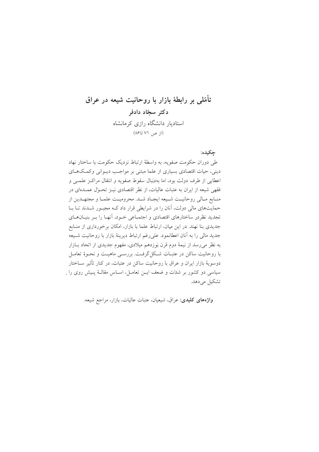# تأمّلی بر رابطهٔ بازار با روحانیت شیعه در عراق دکتر سجّاد دادفر استادیار دانشگاه رازی کرمانشاه (از ص ۷۱ تا۸۶)

### جكيده:

طی دوران حکومت صفویه، به واسطهٔ ارتباط نزدیک حکومت با ساختار نهاد دینی، حیات اقتصادی بسیاری از علما مبتنی بر مواجب دیوانی وکمکهای اعطایی از طرف دولت بود، اما بهدنبال سقوط صفویه و انتقال مراکـز علمـی و فقهی شیعه از ایران به عتبات عالیات، از نظر اقتصادی نیـز تحـول عمـدهای در منـابع مـالي روحانيـت شـيعه ايجـاد شـد. محروميـت علمـا و مجتهـدين از حمایتهای مالی دولت، آنان را در شرایطی قرار داد کـه مجبـور شـدند تـا بـا تجدید نظردر ساختارهای اقتصادی و اجتمـاعی خــود، آنهـا را بــر بنیــان۱مـای جدیدی بنا نهند. در این میان، ارتباط علما با بازار، امکان برخورداری از منـابع جدید مالی را به آنان اعطانمود. علی(غم ارتباط دیرینهٔ بازار با روحانیت شـیعه به نظر می رسد از نیمهٔ دوم قرن بوزدهم میلادی، مفهوم جدیدی از اتحاد بـازار با روحانیت ساکن در عتبـات شـکل گرفـت. بررسـی ماهیـت و نحـوهٔ تعامـل دوسويهٔ بازار ايران و عراق با روحانيت ساكن در عتبات، در كنار تأثير ســاختار سیاسی دو کشور بر شدّت و ضعف ایـن تعامـل، اسـاس مقالـهٔ پـیش روی را . تشکیل می دهد.

واژههای کلیدی: عراق، شیعیان، عتبات عالیات، بازار، مراجع شیعه.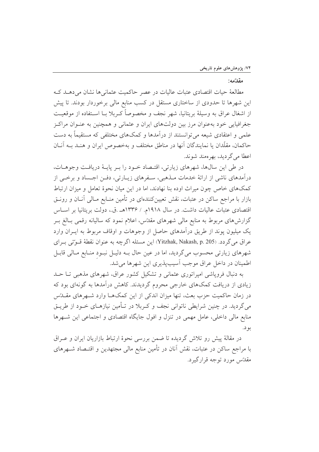#### مقدّمه:

مطالعهٔ حیات اقتصادی عتبات عالیات در عصر حاکمیت عثمانی ها نشان می دهـد کـه این شهرها تا حدودی از ساختاری مستقل در کسب منابع مالی برخوردار بودند. تا پیش از اشغال عراق به وسیلهٔ بریتانیا، شهر نجف و مخصوصاً کـربلا بــا اســتفاده از موقعیــت جغرافیایی خود بهعنوان مرز بین دولتهای ایران و عثمانی و همچنین به عنـوان مراکـز علمی و اعتقادی شیعه میتوانستند از درآمدها و کمکهای مختلفی که مستقیماً به دست حاكمان، مقلَّدان يا نمايندگان آنها در مناطق مختلف و بهخصوص ايران و هنـد بــه آنــان اعطا مے گر دید، بھر ممند شوند.

در طی این سال ها، شهرهای زبارتی، اقتبصاد خبود را پیر پاسهٔ دریافت وجوهیات، درآمدهای ناشی از ارائهٔ خدمات مـذهبی، سـفرهای زیـارتی، دفـن اجـساد و برخـی از کمکهای خاص چون میراث اوده بنا نهادند، اما در این میان نحوهٔ تعامل و میزان ارتباط بازار با مراجع ساکن در عتبات، نقش تعیینکنندهای در تأمین منـابع مـالی آنــان و رونــق اقتصادی عتبات عالیات داشت. در سال ۱۹۱۸م. / ۱۳۳۶هـ .ق.، دولت بریتانیا بر اسـاس گزارش های مربوط به منابع مالی شهرهای مقدس، اعلام نمود که سالیانه رقمی بـالغ بـر یک میلیون یوند از طریق درآمدهای حاصل از وجوهات و اوقاف مربوط به ایــران وارد عراق میگردد. (Yitzhak, Nakash, p. 205) این مسئله اگرچه به عنوان نقطهٔ قــوتی بــرای شهرهای زیارتی محسوب میگردید، اما در عین حال بـه دلیـل نبـود منـابع مـالی قابـل اطمینان در داخل عراق موجب آسیبپذیری این شهرها می شد.

به دنبال فرویاشی امیراتوری عثمانی و تشکیل کشور عراق، شهرهای مذهبی تـا حـد زیادی از دریافت کمکهای خارجی محروم گردیدند. کاهش درآمدها به گونهای بود که در زمان حاکمیت حزب بعث، تنها میزان اندکی از این کمکهـا وارد شـهرهای مقــدّس می گردید. در چنین شرایطی ناتوانی نجف و کـربلا در تـأمین نیازهـای خـود از طریـق منابع مالي داخلي، عامل مهمي در تنزل و افول جايگاه اقتصادي و اجتماعي اين شــهرها بو د.

در مقالهٔ پیش رو تلاش گردیده تا ضمن بررسی نحوهٔ ارتباط بازاریان ایران و عـراق با مراجع ساکن در عتبات، نقش آنان در تأمین منابع مالی مجتهدین و اقتـصاد شــهرهای مقدّتس مورد توجه قرارگیرد.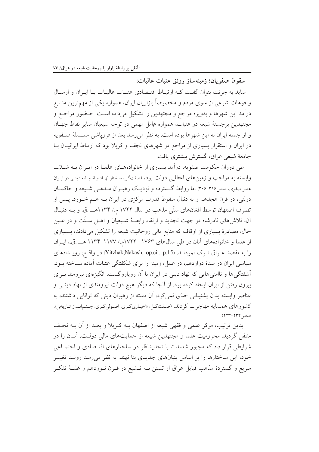سقوط صفويان؛ زمينهساز رونق عتبات عاليات:

شاید به جرئت بتوان گفت کـه ارتبـاط اقتـصادی عتبـات عالیـات بـا ایـران و ارسـال وجوهات شرعی از سوی مردم و مخصوصاً بازاریان ایران، همواره یکی از مهمترین منـابع درآمد این شهرها و بهویژه مراجع و مجتهدین را تشکیل میداده است. حـضور مراجـع و مجتهدین برجستهٔ شیعه در عتبات، همواره عِامل مهمی در توجه شیعیان سایر نقاط جهـان و از جمله ایران به این شهرها بوده است. به نظر میرسد بعد از فروپاشی سلسلهٔ صفویه در ایران و استقرار بسیاری از مراجع در شهرهای نجف و کربلا بود که ارتباط ایرانیـان بـا جامعهٔ شیعی عراق، گسترش بیشتری یافت.

طی دوران حکومت صفویه، درآمد بسیاری از خانوادههـای علمـا در ایـران بـه شبـلات وابسته به مواجب و زمینهای اعطایی دولت بود، (صفتگل، ساختار نهـاد و اندیـشه دینـی در ایـران عصر صفوي، صص٣١٤-٣٠٤) اما روابط گـــــترده و نزديــک رهبــران مــذهبي شــيعه و حاکمــان دولتي، در قرن هجدهم و به دنبال سقوط قدرت مركزي در ايران بــه هــم خــورد. يــس از تصرف اصفهان توسط افغانهاي سنّي مذهب در سال ١٧٢٢ م./ ١١٣۴هــ .ق. و بــه دنبـال آن، تلاش۵های نادرشاه در جهت تجدید و ارتقاء رابطـهٔ شـیعیان و اهــل سـنّت و در عــین حال، مصادرهٔ بسیاری از اوقاف که منابع مالی روحانیت شیعه را تشکیل میدادند، بـسیاری از علما و خانوادههای آنان در طی سالهای ۱۷۶۳– ۱۷۲۲م. /۱۱۷۷–۱۱۳۴ هـ. ق.، ایـران را به مقصد عـراق تـرک نمودنـد. (Yitzhak,Nakash, op.cit, p.15) در واقـع، رويــدادهاى سیاسی ایران در سدهٔ دوازدهم، در عمل، زمینه را برای شکفتگی عتبات آماده سـاخته بــود. أشفتگی ها و ناامنی هایی که نهاد دینی در ایران با آن رویاروگشت، انگیزهای نیرومند بـرای بیرون رفتن از ایران ایجاد کرده بود. از آنجا که دیگر هیچ دولت نیرومندی از نهاد دینــی و عناصر وابسته بدان پشتیبانی جدّی نمی کرد، آن دسته از رهبران دینی که توانایی داشتند، به کشورهای همسایه مهاجرت کردند. (صفتگل، «اخباریگری، اصولیگری، چـشمانـداز تـاریخی»، صص ٢٣٣-٢٣٣)

بدین ترتیب، مرکز علمی و فقهی شیعه از اصفهان بــه کــربلا و بعــد از آن بــه نجـف منتقل گردید. محرومیت علما و مجتهدین شیعه از حمایتهای مالی دولـت، آنــان را در شرایطی قرار داد که مجبور شدند تا با تجدیدنظر در ساختارهای اقتـصادی و اجتمـاعی خود، این ساختارها را بر اساس بنیانهای جدیدی بنا نهند. به نظر می رسد رونــد تغییــر سریع و گستردهٔ مذهب قبایل عراق از تسنن بـه تــشیع در قــرن نــوزدهـم و غلبــهٔ تفکــر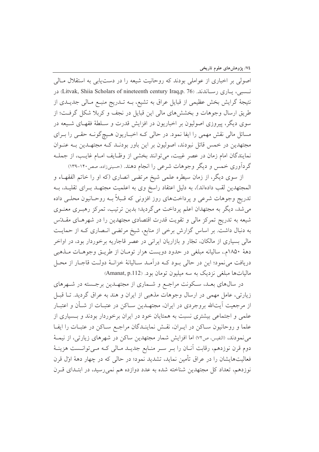اصولی بر اخباری از عواملی بودند که روحانیت شیعه را در دست یابی به استقلال مـالی نسببي، يباري رسياندند. (Litvak, Shiia Scholars of nineteenth century Iraq,p. 76) در نتیجهٔ گرایش بخش عظیمی از قبایل عراق به تشیع، بــه تــدریج منبــع مــالی جدیــدی از طریق ارسال وجوهات و بخششهای مالی این قبایل در نجف و کربلا شکل گرفت؛ از سوی دیگر، پیروزی اصولیون بر اخباریون در افزایش قدرت و سـلطهٔ فقهـای شـیعه در مسائل مالی نقش مهمی را ایفا نمود. در حالی کـه اخبـاریون هـیچگونـه حقـی را بـرای مجتهدین در خمس قائل نبودند، اصولیون بر این باور بودنـد کـه مجتهـدین بـه عنـوان نمايندگان امام زمان در عصر غيبت، مي توانند بخشي از وظـايف امـام غايـب، از جملـه گردآوری خمس و دیگر وجوهات شرعی را انجام دهند. (حسینیزاده، صص۱۴۰-۱۳۹)

از سوی دیگر، از زمان سیطره علمی شیخ مرتضی انصاری (که او را خاتم الفقهـاء و المجتهدین لقب دادهاند)، به دلیل اعتقاد راسخ وی به اعلمیت مجتهــد بــرای تقلیــد، بــه تدریج وجوهات شرعی و پرداختهای روز افزونی که قـبلاً بــه روحـانیون محلــی داده می شد، دیگر به مجتهدان اعلم پرداخت میگردید؛ بدین ترتیب، تمرکز رهبـری معنـوی شیعه به تدریج تمرکز مالی و تقویت قدرت اقتصادی مجتهدین را در شهرهـای مقــدّس به دنبال داشت. بر اساس گزارش برخی از منابع، شیخ مرتضی انـصاری کـه از حمایـت مالي بسياري از مالكان، تجّار و بازاريان ايراني در عصر قاجاريه برخوردار بود، در اواخر دههٔ ۱۸۵۰م.، سالیانه مبلغی در حدود دویست هزار تومان از طریـق وجوهـات مـذهبی دريافت مي نمود؛ اين در حالي بـود كــه درآمــد ســاليانهٔ خزانــهٔ دولــت قاجــار از محــل مالياتها مبلغي نزديک به سه ميليون تومان بود. (Amanat, p.112)

در سالهای بعـد، سـکونت مراجـع و شـماری از مجتهـدین برجـسته در شـهرهای زیارتی، عامل مهمی در ارسال وجوهات مذهبی از ایران و هند به عراق گردید. تـا قبـل از مرجعیت آیتالله بروجردی در ایران، مجتهــدین ســاکن در عتبــات از شــأن و اعتبــار علمی و اجتماعی بیشتری نسبت به همتایان خود در ایران برخوردار بودند و بـسیاری از علما و روحانیون سـاکن در ایـران، نقـش نماینـدگان مراجـع سـاکن در عتبـات را ایفـا می نمودند، (النفیس، ص٧٢) اما افزایش شمار مجتهدین ساکن در شهرهای زیارتی، از نیمـهٔ دوم قرن نوزدهم، رقابت آنــان را بــر ســر منــابع جديــد مــالي كــه مــيتوانــست هزينــهٔ فعالیتهایشان را در عراق تأمین نماید، تشدید نمود؛ در حالی که در چهار دههٔ اوّل قرن نوزدهم، تعداد کل مجتهدین شناخته شده به عدد دوازده هم نمی رسید، در ابتـدای قـرن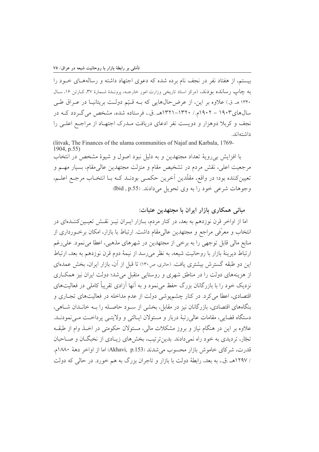بیستم، از هفتاد نفر در نجف نام برده شده که دعوی اجتهاد داشته و رسالههـای خـود را به چاپ رسانده بودند، (مرکز اسناد تاریخی وزارت امور خارجـه، پرونـدهٔ شـمارهٔ ۳۷، کـارتن ۱۶، سـال ۱۳۴۰ هـ ق) علاوه بر این، از عرضحالهایی که بـه قـیّم دولت بریتانیـا در عـراق طـی سال های۱۹۰۳ – ۱۹۰۲م./ ۱۳۲۰–۱۳۲۱هـ .ق.، فرستاده شده، مشخص می گـردد کـه در نجف و کربلا دوهزار و دویست نفر ادعای دریافت مـدرک اجتهـاد از مراجـع اعلـی را داشتەاند.

(litvak, The Finances of the ulama communities of Najaf and Karbala, 1769- $1904, p.55$ با افزايش بي رويهٔ تعداد مجتهدين و به دليل نبود اصول و شيوهٔ مشخص در انتخاب مرجعيت اعلي، نقش مردم در تشخيص مقام و منزلت مجتهدين عالي مقام، بسيار مهــم و تعیینکننده بود؛ در واقع، مقلّدین آخرین حکمـی بودنــد کــه بــا انتخــاب مرجـع اعلــم، وجوهات شرعي خود را به وي تحويل مي دادند. (1bid , p.55)

مبانی همکاری بازار ایران با مجتهدین عتبات:

اما از اواخر قرن نوزدهم به بعد، در کنار مردم، بــازار ايــران نيــز نقــش تعيــينکننــدهای در انتخاب و معرِّفي مراجع و مجتهدين عالمي مقام داشت. ارتباط با بازار، امكان برخـورداري از منابع مالي قابل توجهي را به برخي از مجتهدين در شهرهاي مذهبي، اعطا مي نمود. على رغم ارتباط ديرينهٔ بازار با روحانيت شيعه، به نظر مي رسد از نيمهٔ دوم قرن نوزدهم به بعد، ارتباط این دو طبقه گسترش بیشتری یافت. (حائری، ص۱۳۰) تا قبل از آن، بازار ایران، بخش عمدهای از هزینههای دولت را در مناطق شهری و روستایی متقبل می شد؛ دولت ایران نیز همکــاری نزدیک خود را با بازرگانان بزرگ حفظ می نمود و به آنها آزادی تقریباً کاملی در فعالیتهای اقتصادی، اعطا می کرد. در کنار چشمپوشی دولت از عدم مداخله در فعالیتهای تجـاری و بنگاههای اقتصادی، بازرگانان نیز در مقابل، بخشی از سـود حاصـله را بـه خانـدان شـاهی، دستگاه قضایی، مقامات عالی رتبهٔ دربار و مسئولان ایـالتی و ولایتــی پرداخــت مــی نمودنــد. علاوه بر این در هنگام نیاز و بروز مشکلات مالی، مسئولان حکومتی در اخـذ وام از طبقـه تجّار، تردیدی به خود راه نمیدادند. بدینترتیب، بخشهای زیـادی از نخبگـان و صـاحبان قدرت، شركاي خاموش بازار محسوب مي شدند (Akhavi, p.153) اما از اواخر دههٔ ۱۸۸۰م. / ۱۲۹۷هـ .ق.، به بعد، رابطهٔ دولت با بازار و تاجران بزرگ به هم خورد. در حالي كه دولت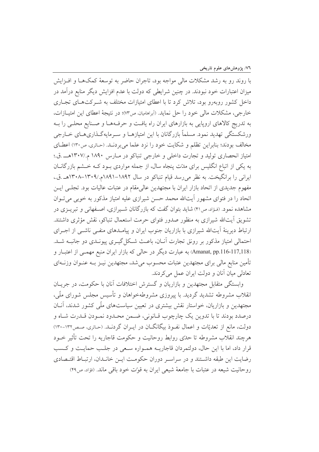با روند رو به رشد مشکلات مالی مواجه بود، تاجران حاضر به توسعهٔ کمک۵ـا و افــزایش میزان اعتبارات خود نبودند. در چنین شرایطی که دولت با عدم افزایش دیگر منابع درآمد در داخل کشور روبهرو بود، تلاش کرد تا با اعطای امتیازات مختلف به شـرکتهـای تجـاری خارجي، مشكلات مالي خود را حل نمايد. (أبراهاميان ص٣)؛ در نتيجة اعطاي اين امتيـازات، به تدریج کالاهای اروپایی به بازارهای ایران راه یافت و حرفههـا و صـنایع محلـی را بـه ورشکستگی تهدید نمود. مسلماً بازرگانان با این امتیازهـا و سـرمایهگـذاریهـای خــارجی مخالف بودند؛ بنابراین تظلم و شکایت خود را نزد علما می بردنــد. (حـائری، ص١٣٠) اعطــای امتياز انحصاري توليد و تجارت داخلي و خارجي تنباكو در مـارس ١٨٩٠ م./١٣٠٧هــ .ق.؛ به یکی از اتباع انگلیس برای مدّت پنجاه سال، از جمله مواردی بـود کــه خــشم بازرگانــان ایرانی را برانگیخت. به نظر می رسد قیام تنباکو در سال ۱۸۹۲–۱۸۹۱م./۱۳۰۹–۱۳۰۸هـ .ق.، مفهوم جدیدی از اتحاد بازار ایران با مجتهدین عالی مقام در عتبات عالیات بود. تجلسی ایس اتحاد را در فتوای مشهور آیتالله محمد حسن شیرازی علیه امتیاز مذکور به خوبی می تـوان مشاهده نمود. (فـؤاد، ص۴۱) شاید بتوان گفت که بازرگانان شـیرازی، اصـفهانی و تبریـزی در تشويق أيتالله شيرازي به منظور صدور فتواي حرمت استعمال تنباكو، نقش مؤثري داشتند. ارتباط دیرینهٔ آیتالله شیرازی با بازاریان جنوب ایران و پیامـدهای منفـی ناشـی از اجـرای احتمالی امتیاز مذکور بر رونق تجارت آنــان، باعــث شــکل گیــری پیونــدی دو جانبــه شــد. (Amanat, pp.116-117,118) به عبارت دیگر در حالی که بازار ایران منبع مهمـی از اعتبـار و تأمین منابع مالی برای مجتهدین عتبات محسوب میشد، مجتهدین نیـز بــه عنــوان وزنــهای تعادلي ميان آنان و دولت ايران عمل مي كردند.

وابستگی متقابل مجتهدین و بازاریان و گسترش اختلافات آنان با حکومت، در جریـان انقلاب مشروطه تشدید گردید. با پیروزی مشروطهخواهان و تأسیس مجلس شورای ملّی، مجتهدین و بازاریان، خواستار نقش بیشتری در تعیین سیاستهای ملّی کشور شدند، آنــان درصدد بودند تا با تدوين يک چارچوب قـانوني، ضـمن محـدود نمـودن قـدرت شـاه و دولت، مانع از تعدیّات و اعمال نفـوذ بیگانگــان در ایــران گردنــد. (حـائری، صـص١٣٢-١٣٠) هرچند انقلاب مشروطه تا حدّی روابط روحانیت و حکومت قاجاریه را تحت تأثیر خـود قرار داد، اما با این حال، دولتمردان قاجاریــه همـواره سـعی در جلـب حمایـت و کـسب رضایت این طبقه داشتند و در سراسـر دوران حکومـت ایـن خانـدان، ارتبـاط اقتـصادی روحانيت شيعه در عتبات با جامعهٔ شيعي ايران به قوّت خود باقي ماند. (فؤاد، ص۴۹)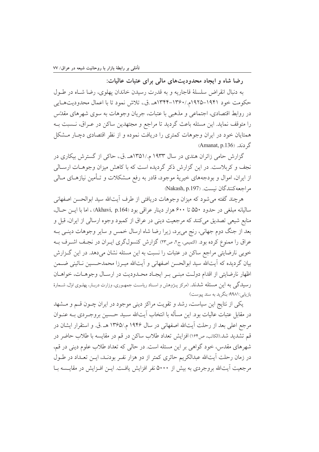## رضا شاه و ایجاد محدودیتهای مالی برای عتبات عالیات:

به دنبال انقراض سلسلهٔ قاجاریه و به قدرت رسیدن خاندان یهلوی، رضا شـاه در طـول حكومت خود ١٩٤١–١٩٢٥م./١٣٤٠-١٣٣٤هـ.ق.، تلاش نمود تا با اعمال محدوديتهايي در روابط اقتصادي، اجتماعي و مذهبي با عتبات، جريان وجوهات به سوى شهرهاى مقدِّس را متوقف نماید. این مسئله باعث گردید تا مراجع و مجتهدین ساکن در عـراق، نــسبت بــه همتایان خود در ایران وجوهات کمتری را دریافت نموده و از نظر اقتصادی دچـار مــشکل گر دند. (Amanat, p.136)

گزارش حامی زائران هندی در سال ۱۹۳۳ م./۱۳۵۱هـ .ق.، حاکی از گسترش بیکاری در نجف و کربلاست. در این گزارش ذکر گردیده است که با کاهش میزان وجوهـات ارســالی از ایران، اموال و بودجههای خیریهٔ موجود، قادر به رفع مــشکلات و تــأمین نیازهــای مــالی م احعه كنند گان نسبت. (Nakash, p.197)

هرچند گفته می شود که میزان وجوهات دریافتی از طرف أیتالله سید ابوالحسن اصفهانی ساليانه مبلغي در حدود ۵۵۰ تا ۶۰۰ هزار دينار عراقي بود (Akhavi, p.164) ، اما با ايس حسال، منابع شيعي تصديق مي كنند كه مرجعيت ديني در عراق از كمبود وجوه ارسالي از ايران، قبل و بعد از جنگ دوم جهانی، رنج میبرد، زیرا رضا شاه ارسال خمس و سایر وجوهات دینــی بــه عراق را ممنوع كرده بود. (التميمي، ج٢، ص٢٣) گزارش كنسولگري ايــران در نجـف اشــرف بــه خوبی نارضایتی مراجع ساکن در عتبات را نسبت به این مسئله نشان میدهد. در این گـزارش بيان گرديده كه آيتالله سيد ابوالحسن اصفهاني و آيتالله ميـرزا محمدحـسين نــائيني ضــمن اظهار نارضایتی از اقدام دولت مبنبی بـر ایجـاد محـدودیت در ارسـال وجوهـات، خواهـان رسیدگی به این مسئله شدند. (مرکز پـژوهش و اسـناد ریاسـت جمهـوری، وزارت دربـار، پهلـوی اول، شـمارهٔ بازيابي:٩٩٨١؛ بنگريد به سند پيوست)

یکی از نتایج این سیاست، رشد و تقویت مراکز دینی موجود در ایران چـون قـم و مـشهد در مقابل عتبات عاليات بود. اين مسأله با انتخاب آيتالله سـيد حـسين بروجـردي بــه عنــوان مرجع اعلي بعد از رحلت آيتالله اصفهاني در سال ۱۹۴۶ م./۱۳۶۵ هـ .ق. و استقرار ايشان در قم تشديد شد.(الكاتب، ص١٤۴) افزايش تعداد طلاب ساكن در قم در مقايسه با طلاب حاضر در شهرهای مقدس، خود گواهی بر این مسئله است. در حالی که تعداد طلاب علوم دینی در قم، در زمان رحلت اّیتالله عبدالکریم حائری کمتر از دو هزار نفـر بودنـد، ایــن تعــداد در طــول مرجعیت آیتالله بروجردی به بیش از ۵۰۰۰ نفر افزایش یافت. ایــن افــزایش در مقایــسه بــا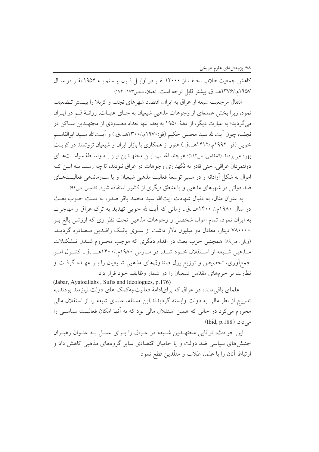كاهش جمعيت طلاب نجـف از ۱۲۰۰۰ نفـر در اوايـل قـرن بيـستم بـه ۱۹۵۴ نفـر در سـال ١٩۵٧م./١٣٧۶هـ .ق. بيشتر قابل توجه است. (همان، صص١٧٣ - ١٧٢)

انتقال مرجعیت شیعه از عراق به ایران، اقتصاد شهرهای نجف و کربلا را بیــشتر تــضعیف نمود، زیرا بخش عمدهای از وجوهات مذهبی شیعیان به جـای عتبـات، روانـهٔ قــم در ایــران می گردید؛ به عبارت دیگر، از دههٔ ۱۹۵۰ به بعد، تنها تعداد معـدودی از مجتهـدین سـاکن در نجف، چون آیتالله سید محسن حکیم (فو:١٩٧٠م.١٣٠٠هـ .ق.) و آیـتالله سـید ابوالقاسـم خویی (فو: ۱۹۹۲م.۱۴۱۲هـ .ق.) هنوز از همکاری با بازار ایران و شیعیان ثروتمند در کویت بهره مي بر دند (الخفاجي، ص١١٢)؛ هر چند اغلــب ايــن مجتهــدين نيــز بــه واســطهٔ سياســتهــاي دولتمردان عراقي، حتى قادر به نگهداري وجوهات در عراق نبودند، تا چه رسـد بــه ايــن كــه اموال به شکل آزادانه و در مسیر توسعهٔ فعالیت مذهبی شیعیان و یا ســازماندهی فعالیــتهــای ضد دولتی در شهرهای مذهبی و یا مناطق دیگری از کشور استفاده شود. (النفیس، ص۹۴)

به عنوان مثال، به دنبال شهادت آیتالله سید محمد باقر صدر، به دست حـزب بعـث در سال ۱۹۸۰م./ ۱۴۰۰هـ .ق.، زمانی که آیتالله خویی تهدید به ترک عراق و مهاجرت به ایران نمود، تمام اموال شخصی و وجوهات مذهبی تحت نظر وی که ارزشی بالغ بـر ۷۸۰۰۰۰ دینار، معادل دو میلیون دلار داشت از سـوی بانـک رافـدین مـصادره گردیـد. (ویلی، ص۸۹) همچنین حزب بعث در اقدام دیگری که موجب محـروم شــدن تــشکیلات مــذهبي شــيعه از اســتقلال خــود شــد، در مــارس ١٩٨٠م./١۴٠٠هــــ .ق.، كنتــرل امــر جمع|وری، تخصیص و توزیع پول صندوقهای مذهبی شـیعیان را بـر عهـده گرفـت و نظارت بر حرمهای مقدّتیں شیعیان را در شمار وظایف خود قرار داد.

(Jabar, Ayatoallahs, Sufis and Ideologues, p.176) علمای باقی مانده در عراق که برای[دامهٔ فعالیت،بهکمک های دولت نیازمند بودند،به تدریج از نظر مالی به دولت وابسته گردیدند.این مسئله، علمای شیعه را از استقلال مالی محروم می کرد در حالی که همین استقلال مالی بود که به آنها امکان فعالیت سیاسی را مے داد. (Ibid, p.188)

این حوادث، توانایی مجتهـدین شـیعه در عـراق را بـرای عمـل بـه عنـوان رهبـران جنبش های سیاسی ضد دولت و یا حامیان اقتصادی سایر گروههای مذهبی کاهش داد و ارتباط آنان را با علما، طلاب و مقلّدین قطع نمود.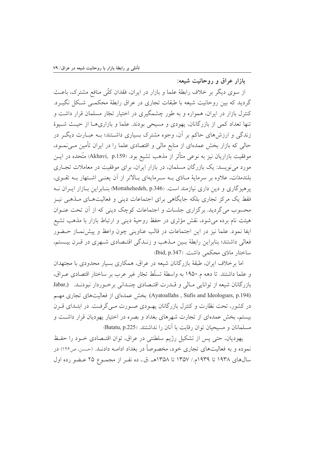بازار عراق و روحانیت شیعه:

از سوی دیگر بر خلاف رابطهٔ علما و بازار در ایران، فقدان کلّی منافع مشترک، باعـث گردید که بین روحانیت شیعه با طبقات تجاری در عراق رابطهٔ محکمـی شـکل نگیـرد. کنترل بازار در ایران، همواره و به طور چشمگیری در اختیار تجّار مسلمان قرار داشت و تنها تعداد کمی از بازرگانان، یهودی و مسیحی بودند. علما و بازاریهـا از حیـث شـیوهٔ زندگی و ارزشهای حاکم بر آن، وجوه مشترک بسیاری داشتند؛ بـه عبـارت دیگـر در حالی که بازار بخش عمدهای از منابع مالی و اقتصادی علما را در ایران تأمین مـیiمـود، موفقیت بازاریان نیز به نوعی متأثر از مذهب تشیع بود. (Akhavi, p.159) متّحده در ایــن مورد می نویسد: یک بازرگان مسلمان، در بازار ایران، برای موفقیت در معاملات تجـاری بلندمدّت، علاوه بر سرمايهٔ مـادّي بــه سـرمايهاي بـالاتر از آن يعنــي اشـتهار بــه تقــوي، یر هیز گاری و دین داری نیازمند است. (Mottahehedeh, p.346) بنـابراین بـازار ایـران نــه فقط یک مرکز تجاری بلکه جایگاهی برای اجتماعات دینی و فعالیتهـای مـذهبی نیـز محسوب می گردید. برگزاری جلسات و اجتماعات کوچک دینی که از آن تحت عنـوان هیئت نام برده می شود، نقش مؤثری در حفظ روحیهٔ دینی و ارتباط بازار با مذهب تشیع ايفا نمود. علما نيز در اين اجتماعات در قالب عناويني چون واعظ و پيش نمــاز حــضور فعالي داشتند؛ بنابراين رابطهٔ بيين مـذهب و زنـدگي اقتـصادي شـهري در قـرن بيـستم، ساختار مادّى محكمى داشت. (Ibid, p.347)

اما برخلاف ایران، طبقهٔ بازرگانان شیعه در عراق، همکاری بسیار محدودی با مجتهدان و علما داشتند. تا دهه م. ۱۹۵۰ به واسطهٔ تسلّط تجّار غیر عرب بر ساختار اقتصادی عـراق، بازرگانان شیعه از توانایی مـالی و قــدرت اقتـصادی چنـدانی برخـوردار نبودنـد. (Jabar, (Ayatoallahs , Sufis and Ideologues, p.194) بخش عمدهای از فعالیتهای تجاری مهم در کشور، تحت نظارت و کنترل بازرگانان یهـودی صـورت مـیگرفـت. در ابتـدای قـرن بیستم، بخش عمدهای از تجارت شهرهای بغداد و بصره در اختیار یهودیان قرار داشت و مسلمانان و مسيحيان توان رقابت با آنان را نداشتند. (Batatu, p.225)

يهوديان، حتى يس از تشكيل رژيم سلطنتي در عراق، توان اقتـصادى خـود را حفـظ نموده و به فعالیتهای تجاری خود، مخصوصاً در بغداد ادامـه دادنـد. (حـسن، ص۱۲۶) در سالهای ۱۹۳۸ تا ۱۹۳۹م./ ۱۳۵۷ تا ۱۳۵۸هـ .ق.، ده نفـر از مجمـوع ۲۵ عـضو رده اول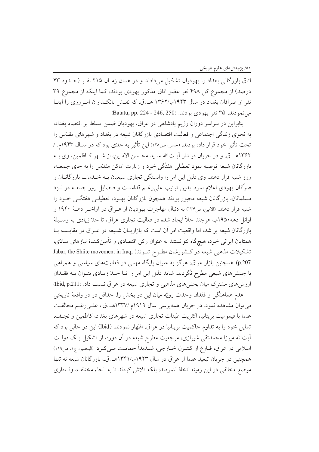اتاق بازرگانی بغداد را یهودیان تشکیل می دادند و در همان زمـان ۲۱۵ نفـر (حـدود ۴۳ درصد) از مجموع کل ۴۹۸ نفر عضو اتاق مذکور یهودی بودند، کما اینکه از مجموع ۳۹ نفر از صرافان بغداد در سال ۱۹۴۳م./۱۳۶۲ هـ .ق. که نقـش بانکـداران امـروزی را ایفـا مي نمودند، ٣٥ نفر يهودي بودند. (230 ,250 - 224 Batatu, pp. 224

بنابراین در سراسر دوران رژیم یادشاهی در عراق، یهودیان ضمن تسلط بر اقتصاد بغداد، به نحوی زندگی اجتماعی و فعالیت اقتصادی بازرگانان شیعه در بغداد و شهرهای مقدّس را تحت تأثير خود قرار داده بودند. (حسن ص١٢٨) اين تأثير به حدّي بود كه در ســال ١٩۴٣م. / ۱۳۶۲هـ .ق. و در جريان ديـدار آيـتالله سـيد محـسن الامـين، از شـهر كـاظمين، وي بـه بازرگانان شیعه توصیه نمود تعطیلی هفتگی خود و زیارت اماکن مقدّس را به جای جمعـه، روز شنبه قرار دهند. وی دلیل این امر را وابستگی تجاری شیعیان بـه خـدمات بازرگانــان و صرّافان یهودی اعلام نمود. بدین ترتیب علی(غـم قداسـت و فـضایل روز جمعــه در نــزد مسلمانان، بازرگانان شیعه مجبور بودند همچون بازرگانان یهـود، تعطیلـی هفتگـی خـود را شنبه قرار دهند. (الامین، ص١٣۴) به دنبال مهاجرت یهودیان از عـراق در اواخـر دهــهٔ ۱۹۴۰ و اوائل دهه ۱۹۵۰م.، هرچند خلأ ايجاد شده در فعاليت تجاري عراق، تا حدّ زيادي به وسـيلهٔ بازرگانان شیعه پر شد، اما واقعیت امر آن است که بازاریـان شـیعه در عـراق در مقایـسه بـا همتایان ایرانی خود، هیچگاه نتوانستند به عنوان رکن اقتصادی و تأمین کنندهٔ نیازهای مـادّی، تشکیلات مذهبی شیعه در کـشورشان مطـرح شــوند( Jabar, the Shiite movement in Iraq, ) p.207) همچنین بازار عراق، هرگز به عنوان پایگاه مهمی در فعالیتهای سیاسی و همراهی با جنبشهای شیعی مطرح نگردید. شاید دلیل این امر را تـا حــدّ زیــادی بتــوان بــه فقــدان ارزش های مشترک میان بخش های مذهبی و تجاری شیعه در عراق نسبت داد. (Ibid, p.211)

عدم هماهنگی و فقدان وحدت رویّه میان این دو بخش را، حداقل در دو واقعهٔ تاریخی می توان مشاهده نمود. در جریان همهپرسی سال ۱۹۱۹م./۱۳۳۷هـ .ق.، علـی رغـم مخالفـت علما با قیمومیت بریتانیا، اکثریت طبقات تجاری شیعه در شهرهای بغداد، کاظمین و نجـف، تمايل خود را به تداوم حاكميت بريتانيا در عراق، اظهار نمودند. (Ibid) اين در حالي بود كه آیتالله میرزا محمدتقی شیرازی، مرجعیت مطرح شیعه در آن دوره، از تشکیل یـک دولـت اسلامی در عراق، فـارغ از کنتـرل خـارجی، شـدیداً حمایـت مـیکـرد. (البـصیر، ج۱، ص١١٩) همچنین در جریان تبعید علما از عراق در سال ۱۹۲۳م./۱۳۴۱هـ .ق.، بازرگانان شیعه نه تنها موضع مخالفي در اين زمينه اتخاذ ننمودند، بلكه تلاش كردند تا به انحاء مختلف، وفــاداري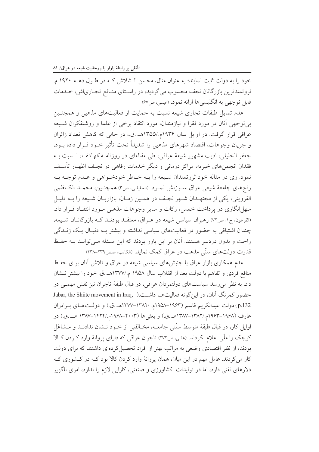خود را به دولت ثابت نمایند؛ به عنوان مثال، محسن الـشلاش کـه در طـول دهــه ۱۹۲۰ م. ثروتمندترین بازرگانان نجف محسوب میگردید، در راسـتای منـافع تجـاریاش، خــدمات قابل توجهي به انگليسي ها ارائه نمود. (عيسي، ص۶۷)

عدم تمایل طبقات تجاری شیعه نسبت به حمایت از فعالیتهای مذهبی و همچنـین بی توجهی آنان در مورد فقرا و نیازمندان، مورد انتقاد برخی از علما و روشنفکران شـیعه عراقی قرار گرفت. در اوایل سال ۱۹۳۶م./۱۳۵۵هـ .ق.، در حالی که کاهش تعداد زائران و جريان وجوهات، اقتصاد شهرهاي مذهبي را شديداً تحت تأثير خـود قـرار داده بـود، جعفر الخلیلی، ادیب مشهور شیعهٔ عراقی، طی مقالهای در روزنامــه *الهــاتف*، نــسبت بــه فقدان انجمنهای خیریه، مراکز درمانی و دیگر خدمات رفاهی در نجـف اظهـار تأسـف نمود. وی در مقاله خود ثروتمندان شـیعه را بــه خــاطر خودخــواهی و عــدم توجــه بــه رنجهاي جامعة شيعي عراق سـرزنش نمـود. (الخليلـي، ص٣) همچنـين، محمـد الكــاظمى القزويني، يكي از مجتهـدان شــهر نجـف در همـين زمـان، بازاريـان شـيعه را بــه دليـل سهلانگاری در پرداخت خمس، زکات و سایر وجوهات مذهبی مـورد انتقـاد قـرار داد. (الفرعون ج١، ص٧٢) رهبران سياسي شيعه در عـراق، معتقــد بودنــد كــه بازرگانــان شــيعه، چندان اشتیاقی به حضور در فعالیتهای سیاسی نداشته و بیشتر بـه دنبـال یـک زنـدگی راحت و بدون دردسر هستند. آنان بر این باور بودند که این مسئله مـی توانـد بـه حفـظ قدرت دولتهای سنّی مذهب در عراق کمک نماید. (الکاتب، صص۱۳۹–۲۳۸)

عدم همکاری بازار عراق با جنبش های سیاسی شیعه در عراق و تلاش آنان برای حفظ منافع فردي و تفاهم با دولت بعد از انقلاب سال ۱۹۵۸ م./۱۳۷۷هـ .ق. خود را بیشتر نـشان داد. به نظر می رسد سیاستهای دولتمردان عراقی، در قبال طبقهٔ تاجران نیز نقش مهمـی در حضور كمرنگ آنان، در اين گونه فعاليتهـا داشــت.( Jabar, the Shiite movement in Iraq, ) p.132) دولت عبدالكريم قاسم (۱۹۶۳–۱۹۵۸م. ۱۳۸۲–۱۳۷۷هـ .ق.) و دولـتهـاي بـرادران عارف (١٩۶٨–١٩۶٢م./١٣٨٢–١٣٨٧هـ .ق.) و بعثي ها (٢٠٠٣–١٩۶٨م./١٣٢٣–١٣٨٧ هـــ .ق.) در اوایل کار، در قبال طبقهٔ متوسط سنّتی جامعــه، مخــالفتی از خــود نــشان ندادنــد و مــشاغل کوچک را ملّی اعلام نکردند. (علی، ص٢٧٢) تاجران عراقی که دارای پروانهٔ وارد کـردن کـالا بودند، از نظر اقتصادی وضعی به مراتب بهتر از افراد تحصیل کردهای داشتند که برای دولت کار می کردند. عامل مهم در این میان، همان پروانهٔ وارد کردن کالا بود کـه در کـشوری کـه دلارهای نفتی دارد، اما در تولیدات کشاورزی و صنعتی، کارایی لازم را ندارد، امری ناگزیر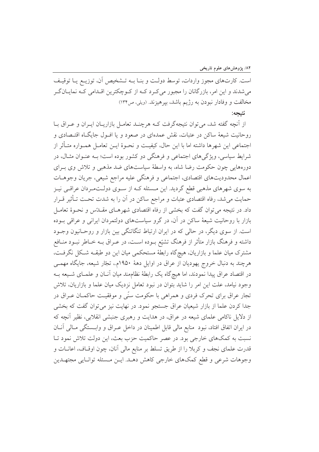است. کارتهای مجوز واردات، توسط دولت و بنـا بـه تـشخیص آن، توزیـع یـا توقیـف میشدند و این امر، بازرگانان را مجبور میکرد کـه از کـوچکترین اقـدامی کـه نمایـانگـر مخالفت و وفادار نبودن به رژیم باشد، بیرهیزند. (ویلی، ص۱۳۴)

نتىحە:

از آنچه گفته شد، می توان نتیجهگرفت کـه هرچنـد تعامـل بازاریـان ایـران و عـراق بـا روحانیت شیعهٔ ساکن در عتبات، نقش عمدهای در صعود و یا افــول جایگــاه اقتــصادی و اجتماعی این شهرها داشته اما با این حال، کیفیت و نحـوهٔ ایــن تعامــل همــواره متــأثر از شرایط سیاسی، ویژگیهای اجتماعی و فرهنگی دو کشور بوده است؛ بـه عنـوان مثـال، در دورههایی چون حکومت رضا شاه، به واسطهٔ سیاستهای ضد مذهبی و تلاش وی بـرای اعمال محدودیتهای اقتصادی، اجتماعی و فرهنگی علیه مراجع شیعی، جریان وجوهـات به سوی شهرهای مذهبی قطع گردید. این مـسئله کـه از سـوی دولـتمـردان عراقـی نیـز حمایت می شد، رفاه اقتصادی عتبات و مراجع ساکن در آن را به شدت تحـت تـأثیر قـرار داد. در نتیجه میتوان گفت که بخشی از رفاه اقتصادی شهرهـای مقــدّس و نحــوهٔ تعامــل بازار با روحانیت شیعهٔ ساکن در آن، در گرو سیاستهای دولتمردان ایرانی و عراقی بـوده است. از سوی دیگر، در حالی که در ایران ارتباط تنگاتنگی بین بازار و روحـانیون وجـود داشته و فرهنگ بازار متأثر از فرهنگ تشیّع بــوده اســت، در عــراق بــه خــاطر نبــود منــافع مشترک میان علما و بازاریان، هیچگاه رابطهٔ مستحکمی میان این دو طبقــه شــکل نگرفــت، هرچند به دنبال خروج یهودیان از عراق در اوایل دههٔ ۱۹۵۰م.، تجّار شیعه، جایگاه مهمــی در اقتصاد عراق پیدا نمودند، اما هیچگاه یک رابطهٔ نظامِمند میان آنـان و علمـای شـیعه بـه وجود نیامد، علت این امر را شاید بتوان در نبود تعامل نزدیک میان علما و بازاریان، تلاش تجار عراق براي تحرک فردي و همراهي با حکومت سنّي و موفقيـت حاکمـان عـراق در جدا کردن علما از بازار شیعیان عراق جستجو نمود. در نهایت نیز می توان گفت که بخشی از دلایل ناکامی علمای شیعه در عراق، در هدایت و رهبری جنبشی انقلابی، نظیر آنچه که در ایران اتفاق افتاد، نبود ًمنابع مالی قابل اطمینان در داخل عــراق و وابـــستگی مــالی آنــان نسبت به کمکهای خارجی بود. در عصر حاکمیت حزب بعث، این دولت تلاش نمود تـا قدرت علمای نجف و کربلا را از طریق تسلط بر منابع مالی آنان، چون اوقـاف، اعانــات و وجوهات شرعي و قطع كمكهاي خارجي كاهش دهـد. ايـن مـسئله توانـايي مجتهـدين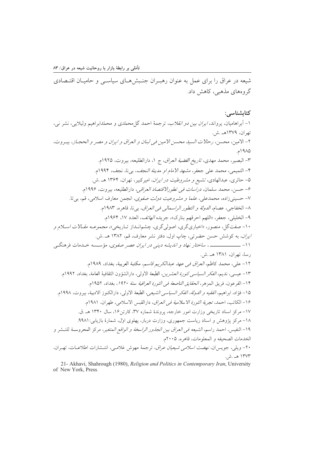شیعه در عراق را برای عمل به عنوان رهب ان جنبش هـای سیاسـی و حامیـان اقتـصادی گروههای مذهبی، کاهش داد.

#### كتايشناسى:

۱– آبراهامیان، یرواند، *ایران بین دو انقلاب*، ترجمهٔ احمد گلمحمّدی و محمّدابراهیم ولیلایی، نشر نی، تھ ان، ۱۳۷۹هـ ش. ٢- الامين، محسن، رحالات السيد محسن الامين في لبنان و العراق و ايران و مصر و الحجـاز، بيـروت، ۱۹۸۵م. ٣- البصير، محمد مهدى، *تاريخ القضية العراق*، ج ١، دارالطليعه، بيروت، ١٩٢٥م. ۴– التميمي، محمد على جعفر، *مشهد الامام او مدينة النجف*، بي نا، نجف، ١٩٩۴م. ۵- حائری، عبدالهادی، تشیع و مشروطیت در *ایران*، امیر کبیر، تهران، ۱۳۶۴ هـ .ش. ۶- حسن، محمد سلمان، *دراسات في تطورالاقتصاد العراقي،* دارالطليعه، بيروت، ۱۹۹۶م. ۷– حسینی¿اده، محمدعلی، *علما و مشروعیت دولت صفوی*، انجمن معارف اسلامی، قم، بی تا. ٨- الخفاجي، عصام، *الدولة و التطور الراسمالي في العراق*، بي نا، قاهره، ١٩٨٣م. ٩- الخليلي، جعفر، «اللهم احرقهم بنارك»، جريده *الهاتف*، العدد ١٧، ١٩۶۴م. ۱۰- صفت گل، منصور، «اخباری گری، اصولی گری، چشمانــداز تــاریخی»، *مجموعــه مقــالات اســلام و* ايران، به كوشش حسن حضرتي، چاپ اول، دفتر نشر معارف، قم، ١٣٨٢ هـ .ش. ۱۱- \_\_\_\_\_\_\_\_\_\_\_\_\_\_، *ساختار نهاد و انديشه ديني در ايران عصر صفوي*، مؤسسه خــدمات فرهنگــي رسا، تهران، ۱۳۸۱ هـ .ش. ١٢- على، محمد كاظم*، العراق في عهد عبدالكريم قاسم*، مكتبة العربية، بغداد، ١٩٨٩م. ١٣- عيسى، نديم، *الفكر السياسي لثورة العشرين*، الطبعة الأولى، دارالشؤون الثقافية العامة، بغداد، ١٩٩٢م. ١۴- الفرعون، فريق المزهر، *الحقايق الناصعة في الثورة العراقية سنة ١٩٢٠*، بغداد، ١٩٥٢م. ١۵- فؤاد، ابراهيم، *الفقيه و الدولة، الفكر السياسي الشيعي*، الطبعة الأولى، دارالكنوز الادبية، بيروت، ١٩٩٨م. ١۶- الكاتب، احمد، تجرب*ة الثورة الاسلامية في العراق*، دارالقبس الاسلامي، طهران، ١٩٨١م. ١٧- مركز اسناد تاريخي وزارت امور خارجه، پروندهٔ شماره ٣٧، كارتن ١۶، سال ١٣۴٠ هـ .ق. ۱۸- مرکز پژوهش و اسناد ریاست جمهوری، وزارت دربار، پهلوی اوّل، شمارهٔ بازیابی:۹۹۸۱. ١٩- النفيس، احمد راسم، *الشيعه في العراق بين الجذور الراسخة و الواقع ال*متغير، مركز المحروسـة للنــشر و الخدمات الصحيفه و المعلومات، قاهره، ٢٠٠٥م. ۲۰- ویلم <sub>،</sub>، جویس ان، *نهضت اسلامی شیعیان عراق*، ترجمهٔ مهوش غلامـی، انتـشارات اطلاعـات، تهـران، ۱۳۷۳ هـ .ش.

21- Akhavi, Shahrough (1980), Religion and Politics in Contemporary Iran, University of New York, Press.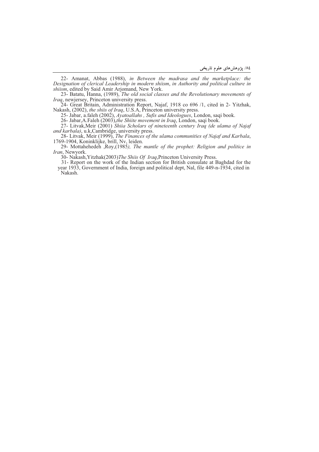22- Amanat, Abbas (1988), *in Between the madrasa and the marketplace: the Designation of clerical Leadership in modern shiism*, *in Authority and political culture in*

*shiism*, edited by Said Amir Arjomand, New York. 23- Batatu, Hanna, (1989), *The old social classes and the Revolutionary movements of*

Iraq, newjersey, Princeton university press.<br>
24- Great Britain, Administration Report, Najaf, 1918 co 696 /1, cited in 2- Yitzhak, Nakash, (2002), *the shiis of Iraq*, U.S.A, Princeton university press.<br>
25- Jabar, a.fale

*I*C- Nakash, Yitzhak(2003)*The Shiis Of Iraq*, Princeton University Press. 31- Report on the work of the Indian section for British consulate at Baghdad for the year 1933, Government of India, foreign and political dept, Nal, file 449-n-1934, cited in Nakash.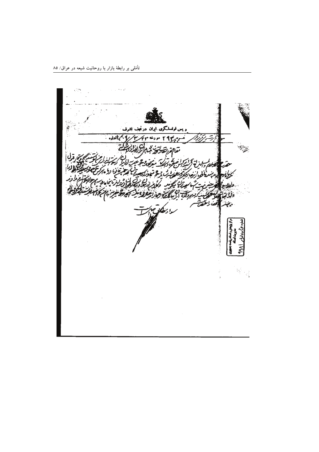